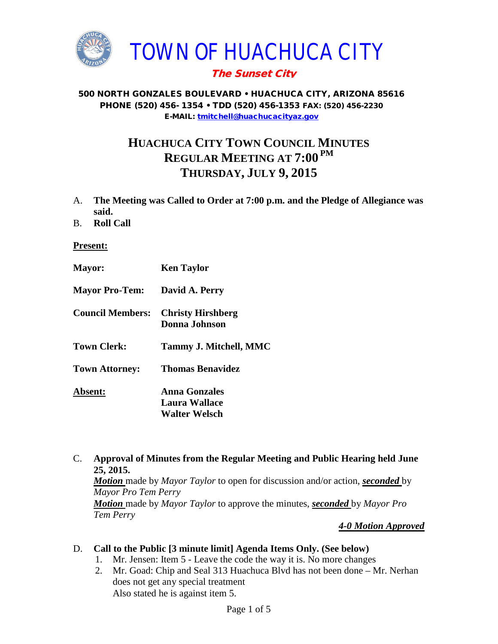

# The Sunset City

#### 500 NORTH GONZALES BOULEVARD • HUACHUCA CITY, ARIZONA 85616 PHONE (520) 456- 1354 • TDD (520) 456-1353 FAX: (520) 456-2230 E-MAIL: [tmitchell@huachucacityaz.gov](mailto:tmitchell@huachucacityaz.gov)

# **HUACHUCA CITY TOWN COUNCIL MINUTES REGULAR MEETING AT 7:00 PM THURSDAY, JULY 9, 2015**

- A. **The Meeting was Called to Order at 7:00 p.m. and the Pledge of Allegiance was said.**
- B. **Roll Call**

#### **Present:**

| <b>Mayor:</b>           | <b>Ken Taylor</b>                                             |
|-------------------------|---------------------------------------------------------------|
| <b>Mayor Pro-Tem:</b>   | David A. Perry                                                |
| <b>Council Members:</b> | <b>Christy Hirshberg</b><br><b>Donna Johnson</b>              |
| <b>Town Clerk:</b>      | Tammy J. Mitchell, MMC                                        |
| <b>Town Attorney:</b>   | <b>Thomas Benavidez</b>                                       |
| <b>Absent:</b>          | <b>Anna Gonzales</b><br>Laura Wallace<br><b>Walter Welsch</b> |

C. **Approval of Minutes from the Regular Meeting and Public Hearing held June 25, 2015.**

*Motion* made by *Mayor Taylor* to open for discussion and/or action, *seconded* by *Mayor Pro Tem Perry Motion* made by *Mayor Taylor* to approve the minutes, *seconded* by *Mayor Pro Tem Perry*

#### *4-0 Motion Approved*

## D. **Call to the Public [3 minute limit] Agenda Items Only. (See below)**

- 1. Mr. Jensen: Item 5 Leave the code the way it is. No more changes
- 2. Mr. Goad: Chip and Seal 313 Huachuca Blvd has not been done Mr. Nerhan does not get any special treatment Also stated he is against item 5.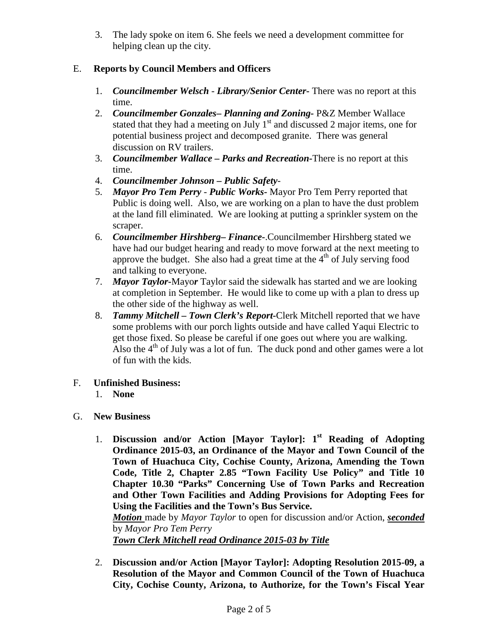3. The lady spoke on item 6. She feels we need a development committee for helping clean up the city.

# E. **Reports by Council Members and Officers**

- 1. *Councilmember Welsch - Library/Senior Center***-** There was no report at this time.
- 2. *Councilmember Gonzales***–** *Planning and Zoning-* P&Z Member Wallace stated that they had a meeting on July  $1<sup>st</sup>$  and discussed 2 major items, one for potential business project and decomposed granite. There was general discussion on RV trailers.
- 3. *Councilmember Wallace* **–** *Parks and Recreation***-**There is no report at this time.
- 4. *Councilmember Johnson – Public Safety-*
- 5. *Mayor Pro Tem Perry Public Works-* Mayor Pro Tem Perry reported that Public is doing well. Also, we are working on a plan to have the dust problem at the land fill eliminated. We are looking at putting a sprinkler system on the scraper.
- 6. *Councilmember Hirshberg***–** *Finance-*.Councilmember Hirshberg stated we have had our budget hearing and ready to move forward at the next meeting to approve the budget. She also had a great time at the  $4<sup>th</sup>$  of July serving food and talking to everyone.
- 7. *Mayor Taylor-*Mayo*r* Taylor said the sidewalk has started and we are looking at completion in September. He would like to come up with a plan to dress up the other side of the highway as well.
- 8. *Tammy Mitchell – Town Clerk's Report-*Clerk Mitchell reported that we have some problems with our porch lights outside and have called Yaqui Electric to get those fixed. So please be careful if one goes out where you are walking. Also the  $4<sup>th</sup>$  of July was a lot of fun. The duck pond and other games were a lot of fun with the kids.
- F. **Unfinished Business:** 
	- 1. **None**
- G. **New Business**
	- 1. **Discussion and/or Action [Mayor Taylor]: 1st Reading of Adopting Ordinance 2015-03, an Ordinance of the Mayor and Town Council of the Town of Huachuca City, Cochise County, Arizona, Amending the Town Code, Title 2, Chapter 2.85 "Town Facility Use Policy" and Title 10 Chapter 10.30 "Parks" Concerning Use of Town Parks and Recreation and Other Town Facilities and Adding Provisions for Adopting Fees for Using the Facilities and the Town's Bus Service.**

*Motion* made by *Mayor Taylor* to open for discussion and/or Action, *seconded*  by *Mayor Pro Tem Perry*

*Town Clerk Mitchell read Ordinance 2015-03 by Title*

2. **Discussion and/or Action [Mayor Taylor]: Adopting Resolution 2015-09, a Resolution of the Mayor and Common Council of the Town of Huachuca City, Cochise County, Arizona, to Authorize, for the Town's Fiscal Year**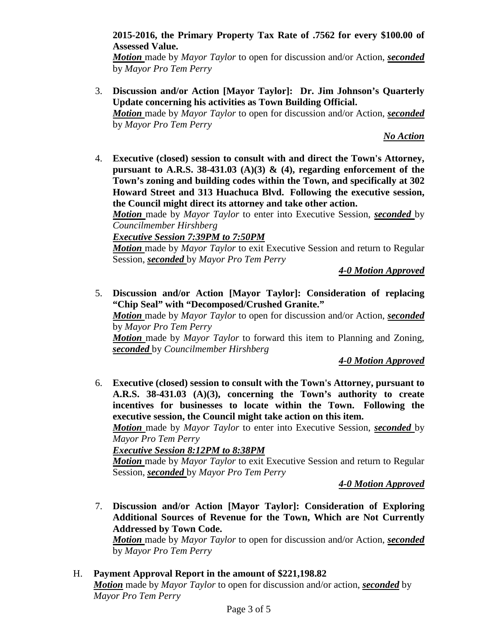**2015-2016, the Primary Property Tax Rate of .7562 for every \$100.00 of Assessed Value.**

*Motion* made by *Mayor Taylor* to open for discussion and/or Action, *seconded*  by *Mayor Pro Tem Perry*

3. **Discussion and/or Action [Mayor Taylor]: Dr. Jim Johnson's Quarterly Update concerning his activities as Town Building Official.** *Motion* made by *Mayor Taylor* to open for discussion and/or Action, *seconded*  by *Mayor Pro Tem Perry*

*No Action*

4. **Executive (closed) session to consult with and direct the Town's Attorney, pursuant to A.R.S. 38-431.03** (A)(3)  $\&$  (4), regarding enforcement of the **Town's zoning and building codes within the Town, and specifically at 302 Howard Street and 313 Huachuca Blvd. Following the executive session, the Council might direct its attorney and take other action.**

*Motion* made by *Mayor Taylor* to enter into Executive Session, *seconded* by *Councilmember Hirshberg*

*Executive Session 7:39PM to 7:50PM*

*Motion* made by *Mayor Taylor* to exit Executive Session and return to Regular Session, *seconded* by *Mayor Pro Tem Perry*

*4-0 Motion Approved* 

5. **Discussion and/or Action [Mayor Taylor]: Consideration of replacing "Chip Seal" with "Decomposed/Crushed Granite."**

*Motion* made by *Mayor Taylor* to open for discussion and/or Action, *seconded*  by *Mayor Pro Tem Perry*

*Motion* made by *Mayor Taylor* to forward this item to Planning and Zoning, *seconded* by *Councilmember Hirshberg*

*4-0 Motion Approved*

6. **Executive (closed) session to consult with the Town's Attorney, pursuant to A.R.S. 38-431.03 (A)(3), concerning the Town's authority to create incentives for businesses to locate within the Town. Following the executive session, the Council might take action on this item.**

*Motion* made by *Mayor Taylor* to enter into Executive Session, *seconded* by *Mayor Pro Tem Perry*

*Executive Session 8:12PM to 8:38PM*

*Motion* made by *Mayor Taylor* to exit Executive Session and return to Regular Session, *seconded* by *Mayor Pro Tem Perry*

*4-0 Motion Approved* 

7. **Discussion and/or Action [Mayor Taylor]: Consideration of Exploring Additional Sources of Revenue for the Town, Which are Not Currently Addressed by Town Code.**

*Motion* made by *Mayor Taylor* to open for discussion and/or Action, *seconded*  by *Mayor Pro Tem Perry*

H. **Payment Approval Report in the amount of \$221,198.82** *Motion* made by *Mayor Taylor* to open for discussion and/or action, *seconded* by *Mayor Pro Tem Perry*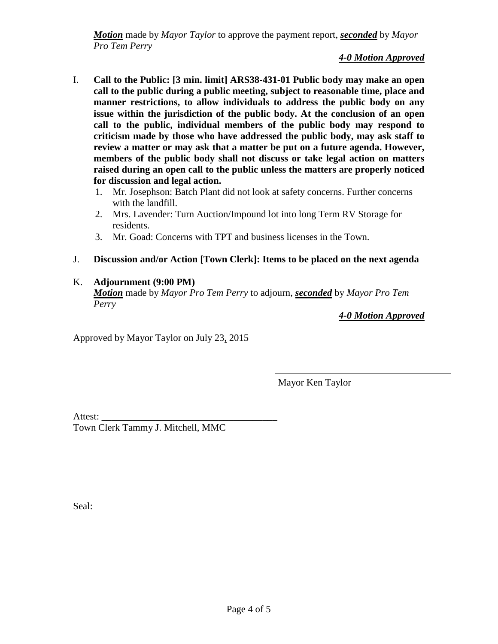*Motion* made by *Mayor Taylor* to approve the payment report, *seconded* by *Mayor Pro Tem Perry*

*4-0 Motion Approved*

- I. **Call to the Public: [3 min. limit] ARS38-431-01 Public body may make an open call to the public during a public meeting, subject to reasonable time, place and manner restrictions, to allow individuals to address the public body on any issue within the jurisdiction of the public body. At the conclusion of an open call to the public, individual members of the public body may respond to criticism made by those who have addressed the public body, may ask staff to review a matter or may ask that a matter be put on a future agenda. However, members of the public body shall not discuss or take legal action on matters raised during an open call to the public unless the matters are properly noticed for discussion and legal action.**
	- 1. Mr. Josephson: Batch Plant did not look at safety concerns. Further concerns with the landfill.
	- 2. Mrs. Lavender: Turn Auction/Impound lot into long Term RV Storage for residents.
	- 3. Mr. Goad: Concerns with TPT and business licenses in the Town.
- J. **Discussion and/or Action [Town Clerk]: Items to be placed on the next agenda**

## K. **Adjournment (9:00 PM)**

*Motion* made by *Mayor Pro Tem Perry* to adjourn, *seconded* by *Mayor Pro Tem Perry*

*4-0 Motion Approved*

Approved by Mayor Taylor on July 23, 2015

Mayor Ken Taylor

Attest: Town Clerk Tammy J. Mitchell, MMC

Seal: